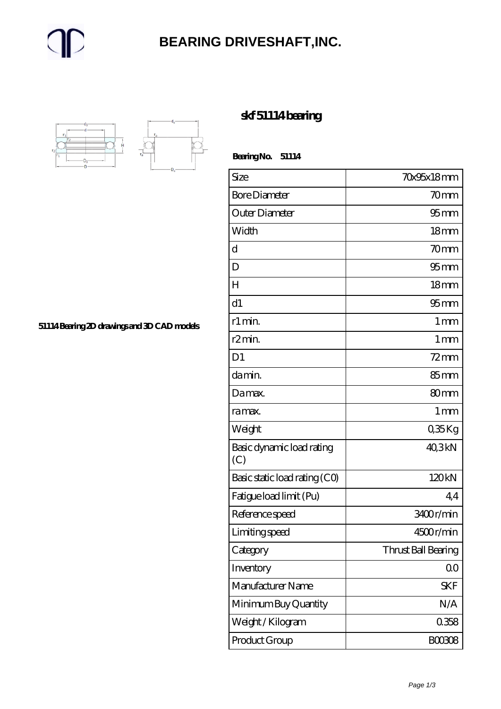#### **[BEARING DRIVESHAFT,INC.](https://trendco-vick.com)**



**[51114 Bearing 2D drawings and 3D CAD models](https://trendco-vick.com/pic-411614.html)**

#### **[skf 51114 bearing](https://trendco-vick.com/skf-51114-bearing/)**

 **Bearing No. 51114**

| Size                             | <b>70x95x18mm</b>   |
|----------------------------------|---------------------|
| <b>Bore Diameter</b>             | 70mm                |
| Outer Diameter                   | $95 \text{mm}$      |
| Width                            | 18 <sub>mm</sub>    |
| d                                | 70mm                |
| D                                | 95 <sub>mm</sub>    |
| $H_{\rm}$                        | 18 <sub>mm</sub>    |
| d1                               | $95 \text{mm}$      |
| r1 min.                          | $1 \,\mathrm{mm}$   |
| r2min.                           | $1 \,\mathrm{mm}$   |
| D <sub>1</sub>                   | $72$ mm             |
| da min.                          | 85 <sub>mm</sub>    |
| Damax.                           | 80 <sub>mm</sub>    |
| ra max.                          | 1 <sub>mm</sub>     |
| Weight                           | $035$ Kg            |
| Basic dynamic load rating<br>(C) | 40,3kN              |
| Basic static load rating (CO)    | 120kN               |
| Fatigue load limit (Pu)          | 44                  |
| Reference speed                  | 3400r/min           |
| Limiting speed                   | 4500r/min           |
| Category                         | Thrust Ball Bearing |
| Inventory                        | 0 <sub>0</sub>      |
| Manufacturer Name                | <b>SKF</b>          |
| Minimum Buy Quantity             | N/A                 |
| Weight / Kilogram                | 0358                |
| Product Group                    | <b>BOO3O8</b>       |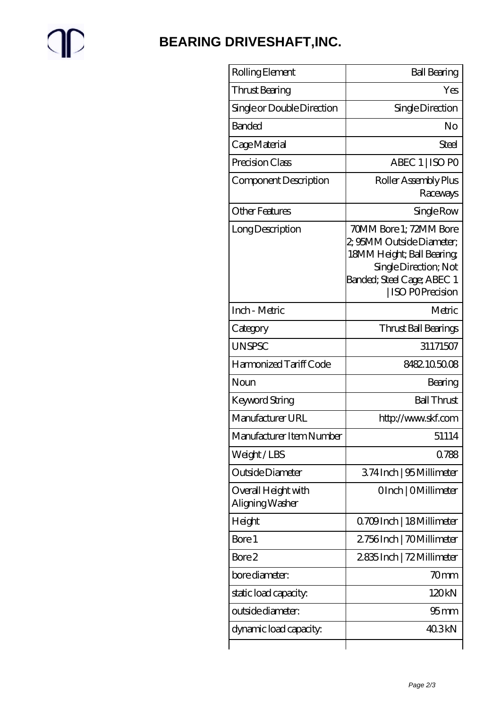# $\mathbb{P}$

### **[BEARING DRIVESHAFT,INC.](https://trendco-vick.com)**

| Rolling Element                        | <b>Ball Bearing</b>                                                                                                                                         |
|----------------------------------------|-------------------------------------------------------------------------------------------------------------------------------------------------------------|
| Thrust Bearing                         | Yes                                                                                                                                                         |
| Single or Double Direction             | Single Direction                                                                                                                                            |
| <b>Banded</b>                          | No                                                                                                                                                          |
| Cage Material                          | Steel                                                                                                                                                       |
| Precision Class                        | ABEC 1   ISO PO                                                                                                                                             |
| Component Description                  | Roller Assembly Plus<br>Raceways                                                                                                                            |
| <b>Other Features</b>                  | Single Row                                                                                                                                                  |
| Long Description                       | 70MM Bore 1; 72MM Bore<br>2, 95MM Outside Diameter;<br>18MM Height; Ball Bearing;<br>Single Direction; Not<br>Banded; Steel Cage; ABEC 1<br>ISO POPrecision |
| Inch - Metric                          | Metric                                                                                                                                                      |
| Category                               | Thrust Ball Bearings                                                                                                                                        |
| <b>UNSPSC</b>                          | 31171507                                                                                                                                                    |
| Harmonized Tariff Code                 | 8482.105008                                                                                                                                                 |
| Noun                                   | Bearing                                                                                                                                                     |
| Keyword String                         | <b>Ball Thrust</b>                                                                                                                                          |
| Manufacturer URL                       | http://www.skf.com                                                                                                                                          |
| Manufacturer Item Number               | 51114                                                                                                                                                       |
| Weight/LBS                             | 0788                                                                                                                                                        |
| Outside Diameter                       | 374 Inch   95 Millimeter                                                                                                                                    |
| Overall Height with<br>Aligning Washer | OInch   OMillimeter                                                                                                                                         |
| Height                                 | 0.709 Inch   18 Millimeter                                                                                                                                  |
| Bore 1                                 | 2.756Inch   70Millimeter                                                                                                                                    |
| Bore 2                                 | 2835Inch   72 Millimeter                                                                                                                                    |
| bore diameter:                         | 70mm                                                                                                                                                        |
| static load capacity.                  | 120kN                                                                                                                                                       |
| outside diameter:                      | 95 <sub>mm</sub>                                                                                                                                            |
| dynamic load capacity:                 | 40.3kN                                                                                                                                                      |
|                                        |                                                                                                                                                             |